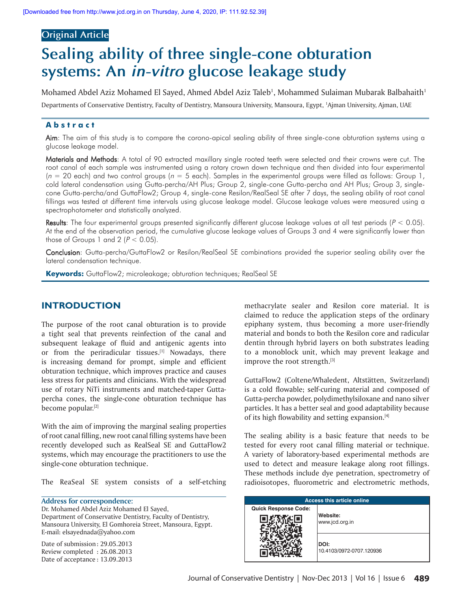# **Original Article**

# **Sealing ability of three single-cone obturation systems: An in-vitro glucose leakage study**

Mohamed Abdel Aziz Mohamed El Sayed, Ahmed Abdel Aziz Taleb<sup>1</sup>, Mohammed Sulaiman Mubarak Balbahaith<sup>1</sup>

Departments of Conservative Dentistry, Faculty of Dentistry, Mansoura University, Mansoura, Egypt, 1 Ajman University, Ajman, UAE

## **Abstract**

Aim: The aim of this study is to compare the corono-apical sealing ability of three single-cone obturation systems using a glucose leakage model.

Materials and Methods: A total of 90 extracted maxillary single rooted teeth were selected and their crowns were cut. The root canal of each sample was instrumented using a rotary crown down technique and then divided into four experimental  $(n = 20 \text{ each})$  and two control groups  $(n = 5 \text{ each})$ . Samples in the experimental groups were filled as follows: Group 1, cold lateral condensation using Gutta-percha/AH Plus; Group 2, single-cone Gutta-percha and AH Plus; Group 3, singlecone Gutta-percha/and GuttaFlow2; Group 4, single-cone Resilon/RealSeal SE after 7 days, the sealing ability of root canal fillings was tested at different time intervals using glucose leakage model. Glucose leakage values were measured using a spectrophotometer and statistically analyzed.

Results: The four experimental groups presented significantly different glucose leakage values at all test periods ( $P < 0.05$ ). At the end of the observation period, the cumulative glucose leakage values of Groups 3 and 4 were significantly lower than those of Groups 1 and 2  $(P < 0.05)$ .

Conclusion: Gutta-percha/GuttaFlow2 or Resilon/RealSeal SE combinations provided the superior sealing ability over the lateral condensation technique.

**Keywords:** GuttaFlow2; microleakage; obturation techniques; RealSeal SE

## **INTRODUCTION**

The purpose of the root canal obturation is to provide a tight seal that prevents reinfection of the canal and subsequent leakage of fluid and antigenic agents into or from the periradicular tissues.<sup>[1]</sup> Nowadays, there is increasing demand for prompt, simple and efficient obturation technique, which improves practice and causes less stress for patients and clinicians. With the widespread use of rotary NiTi instruments and matched-taper Guttapercha cones, the single-cone obturation technique has become popular.<sup>[2]</sup>

With the aim of improving the marginal sealing properties of root canal filling, new root canal filling systems have been recently developed such as RealSeal SE and GuttaFlow2 systems, which may encourage the practitioners to use the single-cone obturation technique.

The ReaSeal SE system consists of a self-etching

**Address for correspondence:** Dr. Mohamed Abdel Aziz Mohamed El Sayed, Department of Conservative Dentistry, Faculty of Dentistry, Mansoura University, El Gomhoreia Street, Mansoura, Egypt. E-mail: elsayednada@yahoo.com

Date of submission : 29.05.2013 Review completed : 26.08.2013 Date of acceptance : 13.09.2013 methacrylate sealer and Resilon core material. It is claimed to reduce the application steps of the ordinary epiphany system, thus becoming a more user-friendly material and bonds to both the Resilon core and radicular dentin through hybrid layers on both substrates leading to a monoblock unit, which may prevent leakage and improve the root strength.<sup>[3]</sup>

GuttaFlow2 (Coltene/Whaledent, Altstätten, Switzerland) is a cold flowable; self-curing material and composed of Gutta-percha powder, polydimethylsiloxane and nano silver particles. It has a better seal and good adaptability because of its high flowability and setting expansion.<sup>[4]</sup>

The sealing ability is a basic feature that needs to be tested for every root canal filling material or technique. A variety of laboratory-based experimental methods are used to detect and measure leakage along root fillings. These methods include dye penetration, spectrometry of radioisotopes, fluorometric and electrometric methods,

| <b>Access this article online</b> |                                  |  |  |  |
|-----------------------------------|----------------------------------|--|--|--|
| <b>Quick Response Code:</b>       | Website:<br>www.jcd.org.in       |  |  |  |
|                                   | DOI:<br>10.4103/0972-0707.120936 |  |  |  |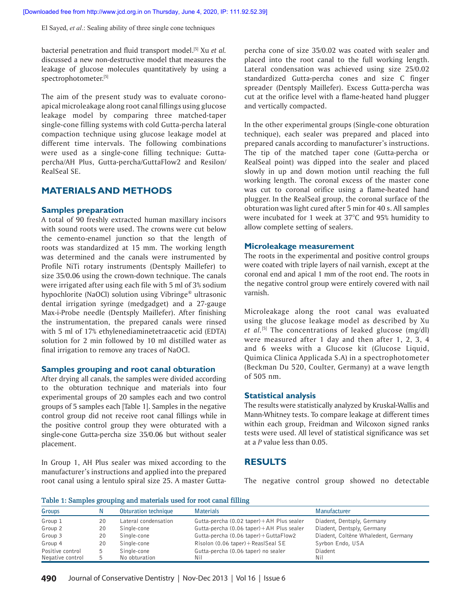El Sayed, *et al*.: Sealing ability of three single cone techniques

bacterial penetration and fluid transport model.[5] Xu *et al.* discussed a new non-destructive model that measures the leakage of glucose molecules quantitatively by using a spectrophotometer.[5]

The aim of the present study was to evaluate coronoapical microleakage along root canal fillings using glucose leakage model by comparing three matched-taper single-cone filling systems with cold Gutta-percha lateral compaction technique using glucose leakage model at different time intervals. The following combinations were used as a single-cone filling technique: Guttapercha/AH Plus, Gutta-percha/GuttaFlow2 and Resilon/ RealSeal SE.

## **MATERIALS AND METHODS**

### **Samples preparation**

A total of 90 freshly extracted human maxillary incisors with sound roots were used. The crowns were cut below the cemento-enamel junction so that the length of roots was standardized at 15 mm. The working length was determined and the canals were instrumented by Profile NiTi rotary instruments (Dentsply Maillefer) to size 35/0.06 using the crown-down technique. The canals were irrigated after using each file with 5 ml of 3% sodium hypochlorite (NaOCl) solution using Vibringe® ultrasonic dental irrigation syringe (medgadget) and a 27-gauge Max-i-Probe needle (Dentsply Maillefer). After finishing the instrumentation, the prepared canals were rinsed with 5 ml of 17% ethylenediaminetetraacetic acid (EDTA) solution for 2 min followed by 10 ml distilled water as final irrigation to remove any traces of NaOCl.

#### **Samples grouping and root canal obturation**

After drying all canals, the samples were divided according to the obturation technique and materials into four experimental groups of 20 samples each and two control groups of 5 samples each [Table 1]. Samples in the negative control group did not receive root canal fillings while in the positive control group they were obturated with a single-cone Gutta-percha size 35/0.06 but without sealer placement.

In Group 1, AH Plus sealer was mixed according to the manufacturer's instructions and applied into the prepared root canal using a lentulo spiral size 25. A master Gutta-

percha cone of size 35/0.02 was coated with sealer and placed into the root canal to the full working length. Lateral condensation was achieved using size 25/0.02 standardized Gutta-percha cones and size C finger spreader (Dentsply Maillefer). Excess Gutta-percha was cut at the orifice level with a flame-heated hand plugger and vertically compacted.

In the other experimental groups (Single-cone obturation technique), each sealer was prepared and placed into prepared canals according to manufacturer's instructions. The tip of the matched taper cone (Gutta-percha or RealSeal point) was dipped into the sealer and placed slowly in up and down motion until reaching the full working length. The coronal excess of the master cone was cut to coronal orifice using a flame-heated hand plugger. In the RealSeal group, the coronal surface of the obturation was light cured after 5 min for 40 s. All samples were incubated for 1 week at 37°C and 95% humidity to allow complete setting of sealers.

#### **Microleakage measurement**

The roots in the experimental and positive control groups were coated with triple layers of nail varnish, except at the coronal end and apical 1 mm of the root end. The roots in the negative control group were entirely covered with nail varnish.

Microleakage along the root canal was evaluated using the glucose leakage model as described by Xu *et al.*[5] The concentrations of leaked glucose (mg/dl) were measured after 1 day and then after 1, 2, 3, 4 and 6 weeks with a Glucose kit (Glucose Liquid, Quimica Clinica Applicada S.A) in a spectrophotometer (Beckman Du 520, Coulter, Germany) at a wave length of 505 nm.

#### **Statistical analysis**

The results were statistically analyzed by Kruskal-Wallis and Mann-Whitney tests. To compare leakage at different times within each group, Freidman and Wilcoxon signed ranks tests were used. All level of statistical significance was set at a *P* value less than 0.05.

## **RESULTS**

The negative control group showed no detectable

#### **Table 1: Samples grouping and materials used for root canal filling**

| Groups           |    | Obturation technique | <b>Materials</b>                                     | Manufacturer                        |
|------------------|----|----------------------|------------------------------------------------------|-------------------------------------|
| Group 1          | 20 | Lateral condensation | Gutta-percha $(0.02 \text{ taper}) + AH$ Plus sealer | Diadent, Dentsply, Germany          |
| Group 2          | 20 | Single-cone          | Gutta-percha (0.06 taper)+AH Plus sealer             | Diadent, Dentsply, Germany          |
| Group 3          | 20 | Single-cone          | Gutta-percha (0.06 taper) + GuttaFlow2               | Diadent, Coltène Whaledent, Germany |
| Group 4          | 20 | Single-cone          | Risolon (0.06 taper) + ReasISeaI SE                  | Syrbon Endo, USA                    |
| Positive control | 5  | Single-cone          | Gutta-percha (0.06 taper) no sealer                  | Diadent                             |
| Negative control |    | No obturation        | Nil                                                  | Nil                                 |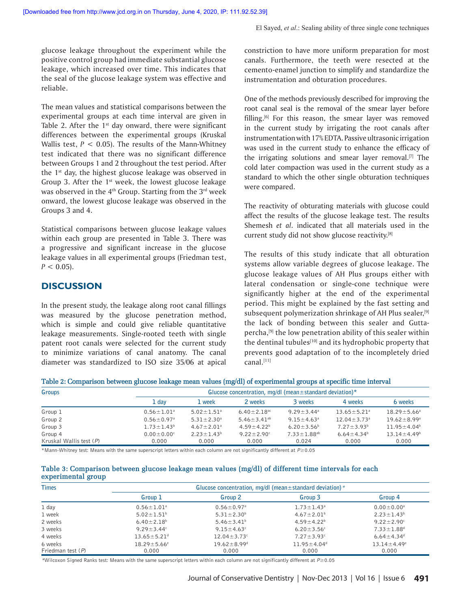glucose leakage throughout the experiment while the positive control group had immediate substantial glucose leakage, which increased over time. This indicates that the seal of the glucose leakage system was effective and reliable.

The mean values and statistical comparisons between the experimental groups at each time interval are given in Table 2. After the  $1<sup>st</sup>$  day onward, there were significant differences between the experimental groups (Kruskal Wallis test,  $P < 0.05$ ). The results of the Mann-Whitney test indicated that there was no significant difference between Groups 1 and 2 throughout the test period. After the 1<sup>st</sup> day, the highest glucose leakage was observed in Group 3. After the 1<sup>st</sup> week, the lowest glucose leakage was observed in the  $4<sup>th</sup>$  Group. Starting from the  $3<sup>rd</sup>$  week onward, the lowest glucose leakage was observed in the Groups 3 and 4.

Statistical comparisons between glucose leakage values within each group are presented in Table 3. There was a progressive and significant increase in the glucose leakage values in all experimental groups (Friedman test,  $P < 0.05$ ).

## **DISCUSSION**

In the present study, the leakage along root canal fillings was measured by the glucose penetration method, which is simple and could give reliable quantitative leakage measurements. Single-rooted teeth with single patent root canals were selected for the current study to minimize variations of canal anatomy. The canal diameter was standardized to ISO size 35/06 at apical constriction to have more uniform preparation for most canals. Furthermore, the teeth were resected at the cemento-enamel junction to simplify and standardize the instrumentation and obturation procedures.

One of the methods previously described for improving the root canal seal is the removal of the smear layer before filling.<sup>[6]</sup> For this reason, the smear layer was removed in the current study by irrigating the root canals after instrumentation with 17% EDTA. Passive ultrasonic irrigation was used in the current study to enhance the efficacy of the irrigating solutions and smear layer removal.<sup>[7]</sup> The cold later compaction was used in the current study as a standard to which the other single obturation techniques were compared.

The reactivity of obturating materials with glucose could affect the results of the glucose leakage test. The results Shemesh *et al*. indicated that all materials used in the current study did not show glucose reactivity.<sup>[8]</sup>

The results of this study indicate that all obturation systems allow variable degrees of glucose leakage. The glucose leakage values of AH Plus groups either with lateral condensation or single-cone technique were significantly higher at the end of the experimental period. This might be explained by the fast setting and subsequent polymerization shrinkage of AH Plus sealer,<sup>[9]</sup> the lack of bonding between this sealer and Guttapercha,<sup>[9]</sup> the low penetration ability of this sealer within the dentinal tubules<sup>[10]</sup> and its hydrophobic property that prevents good adaptation of to the incompletely dried canal.[11]

| Table 2: Comparison between glucose leakage mean values (mg/dl) of experimental groups at specific time interval |  |  |  |
|------------------------------------------------------------------------------------------------------------------|--|--|--|
|------------------------------------------------------------------------------------------------------------------|--|--|--|

| Groups                    | Glucose concentration, mg/dl (mean $\pm$ standard deviation)* |                              |                               |                              |                               |                    |  |  |  |
|---------------------------|---------------------------------------------------------------|------------------------------|-------------------------------|------------------------------|-------------------------------|--------------------|--|--|--|
|                           | 1 dav                                                         | 1 week                       | 2 weeks                       | 3 weeks                      | 4 weeks                       | 6 weeks            |  |  |  |
| Group 1                   | $0.56 \pm 1.01$ <sup>a</sup>                                  | $5.02 \pm 1.51$ <sup>a</sup> | $6.40 \pm 2.18$ <sup>ac</sup> | $9.29 \pm 3.44$ <sup>a</sup> | $13.65 \pm 5.21$ <sup>a</sup> | $18.29 \pm 5.66^a$ |  |  |  |
| Group 2                   | $0.56 \pm 0.97$ <sup>a</sup>                                  | $5.31 \pm 2.30$ <sup>a</sup> | 5.46 $\pm$ 3.41 <sup>ab</sup> | $9.15 \pm 4.63$ <sup>a</sup> | $12.04 \pm 3.73$ <sup>a</sup> | $19.62 + 8.99a$    |  |  |  |
| Group 3                   | $1.73 \pm 1.43^b$                                             | $4.67 \pm 2.01$ <sup>a</sup> | $4.59 + 4.22^{b}$             | $6.20 \pm 3.56^{\circ}$      | $7.27 \pm 3.93^b$             | $11.95 + 4.04^b$   |  |  |  |
| Group 4                   | $0.00 \pm 0.00^{\circ}$                                       | $2.23 + 1.43^b$              | $9.22 + 2.90$                 | $7.33 + 1.88$ <sup>ab</sup>  | $6.64 + 4.34b$                | $13.14 + 4.49^b$   |  |  |  |
| Kruskal Wallis test $(P)$ | 0.000                                                         | 0.000                        | 0.000                         | 0.024                        | 0.000                         | 0.000              |  |  |  |

\*Mann-Whitney test: Means with the same superscript letters within each column are not significantly different at *P*≥0.05

| Table 3: Comparison between glucose leakage mean values (mg/dl) of different time intervals for each |  |  |  |  |  |  |
|------------------------------------------------------------------------------------------------------|--|--|--|--|--|--|
| experimental group                                                                                   |  |  |  |  |  |  |

| <b>Times</b>        |                               |                               |                              |                               |  |
|---------------------|-------------------------------|-------------------------------|------------------------------|-------------------------------|--|
|                     | Group 1                       | Group 2                       | Group 3                      | Group 4                       |  |
| 1 day               | $0.56 \pm 1.01$ <sup>a</sup>  | $0.56 \pm 0.97$ <sup>a</sup>  | $1.73 \pm 1.43$ <sup>a</sup> | $0.00 \pm 0.00$ <sup>a</sup>  |  |
| 1 week              | $5.02 \pm 1.51$ <sup>b</sup>  | $5.31 \pm 2.30^b$             | $4.67 \pm 2.01^b$            | $2.23 \pm 1.43^b$             |  |
| 2 weeks             | $6.40 \pm 2.18^b$             | 5.46 $\pm$ 3.41 <sup>b</sup>  | $4.59 \pm 4.22^b$            | $9.22 \pm 2.90^{\circ}$       |  |
| 3 weeks             | $9.29 \pm 3.44$ °             | $9.15 \pm 4.63$ <sup>c</sup>  | $6.20 \pm 3.56^{\circ}$      | $7.33 \pm 1.88$ <sup>d</sup>  |  |
| 4 weeks             | $13.65 \pm 5.21$ <sup>d</sup> | $12.04 \pm 3.73$ <sup>c</sup> | $7.27 \pm 3.93$ °            | $6.64 \pm 4.34$ <sup>d</sup>  |  |
| 6 weeks             | $18.29 \pm 5.66^e$            | $19.62 \pm 8.99$ <sup>d</sup> | $11.95 \pm 4.04^{\circ}$     | $13.14 \pm 4.49$ <sup>e</sup> |  |
| Friedman test $(P)$ | 0.000                         | 0.000                         | 0.000                        | 0.000                         |  |

*\**Wilcoxon Signed Ranks test: Means with the same superscript letters within each column are not significantly different at *P*≥0.05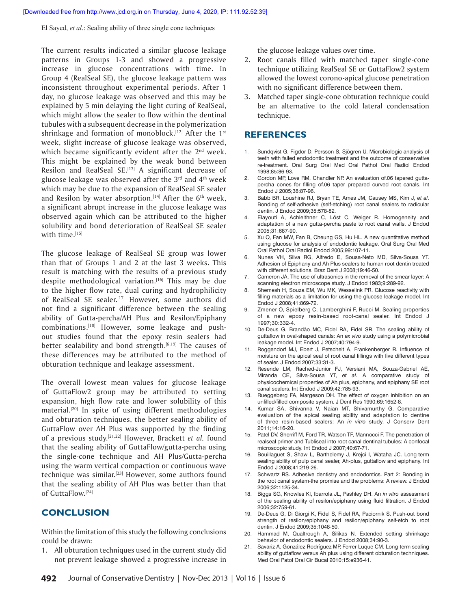El Sayed, *et al*.: Sealing ability of three single cone techniques

The current results indicated a similar glucose leakage patterns in Groups 1-3 and showed a progressive increase in glucose concentrations with time. In Group 4 (RealSeal SE), the glucose leakage pattern was inconsistent throughout experimental periods. After 1 day, no glucose leakage was observed and this may be explained by 5 min delaying the light curing of RealSeal, which might allow the sealer to flow within the dentinal tubules with a subsequent decrease in the polymerization shrinkage and formation of monoblock.<sup>[12]</sup> After the  $1<sup>st</sup>$ week, slight increase of glucose leakage was observed, which became significantly evident after the  $2<sup>nd</sup>$  week. This might be explained by the weak bond between Resilon and RealSeal SE.[13] A significant decrease of glucose leakage was observed after the  $3<sup>rd</sup>$  and  $4<sup>th</sup>$  week which may be due to the expansion of RealSeal SE sealer and Resilon by water absorption.<sup>[14]</sup> After the  $6<sup>th</sup>$  week, a significant abrupt increase in the glucose leakage was observed again which can be attributed to the higher solubility and bond deterioration of RealSeal SE sealer with time.[15]

The glucose leakage of RealSeal SE group was lower than that of Groups 1 and 2 at the last 3 weeks. This result is matching with the results of a previous study despite methodological variation.<sup>[16]</sup> This may be due to the higher flow rate, dual curing and hydrophilicity of RealSeal SE sealer.[17] However, some authors did not find a significant difference between the sealing ability of Gutta-percha/AH Plus and Resilon/Epiphany combinations.[18] However, some leakage and pushout studies found that the epoxy resin sealers had better sealability and bond strength.<sup>[6,19]</sup> The causes of these differences may be attributed to the method of obturation technique and leakage assessment.

The overall lowest mean values for glucose leakage of GuttaFlow2 group may be attributed to setting expansion, high flow rate and lower solubility of this material.<sup>[20]</sup> In spite of using different methodologies and obturation techniques, the better sealing ability of GuttaFlow over AH Plus was supported by the finding of a previous study.[21,22] However, Brackett *et al.* found that the sealing ability of GuttaFlow/gutta-percha using the single-cone technique and AH Plus/Gutta-percha using the warm vertical compaction or continuous wave technique was similar.<sup>[23]</sup> However, some authors found that the sealing ability of AH Plus was better than that of GuttaFlow.[24]

## **CONCLUSION**

Within the limitation of this study the following conclusions could be drawn:

1. All obturation techniques used in the current study did not prevent leakage showed a progressive increase in

the glucose leakage values over time.

- 2. Root canals filled with matched taper single-cone technique utilizing RealSeal SE or GuttaFlow2 system allowed the lowest corono-apical glucose penetration with no significant difference between them.
- 3. Matched taper single-cone obturation technique could be an alternative to the cold lateral condensation technique.

## **REFERENCES**

- Sundqvist G, Figdor D, Persson S, Sjögren U. Microbiologic analysis of teeth with failed endodontic treatment and the outcome of conservative re-treatment. Oral Surg Oral Med Oral Pathol Oral Radiol Endod 1998;85:86-93.
- 2. Gordon MP, Love RM, Chandler NP. An evaluation of.06 tapered guttapercha cones for filling of.06 taper prepared curved root canals. Int Endod J 2005;38:87-96.
- 3. Babb BR, Loushine RJ, Bryan TE, Ames JM, Causey MS, Kim J, *et al*. Bonding of self-adhesive (self-etching) root canal sealers to radicular dentin. J Endod 2009;35:578-82.
- 4. Elayouti A, Achleithner C, Löst C, Weiger R. Homogeneity and adaptation of a new gutta-percha paste to root canal walls. J Endod 2005;31:687-90.
- Xu Q, Fan MW, Fan B, Cheung GS, Hu HL. A new quantitative method using glucose for analysis of endodontic leakage. Oral Surg Oral Med Oral Pathol Oral Radiol Endod 2005;99:107-11.
- 6. Nunes VH, Silva RG, Alfredo E, Sousa-Neto MD, Silva-Sousa YT. Adhesion of Epiphany and Ah Plus sealers to human root dentin treated with different solutions. Braz Dent J 2008;19:46-50.
- 7. Cameron JA. The use of ultrasonics in the removal of the smear layer: A scanning electron microscope study. J Endod 1983;9:289-92.
- 8. Shemesh H, Souza EM, Wu MK, Wesselink PR. Glucose reactivity with filling materials as a limitation for using the glucose leakage model. Int Endod J 2008;41:869-72.
- 9. Zmener O, Spielberg C, Lamberghini F, Rucci M. Sealing properties of a new epoxy resin-based root-canal sealer. Int Endod J 1997;30:332-4.
- 10. De-Deus G, Brandão MC, Fidel RA, Fidel SR. The sealing ability of guttaflow in oval-shaped canals: An *ex vivo* study using a polymicrobial leakage model. Int Endod J 2007;40:794-9.
- 11. Roggendorf MJ, Ebert J, Petschelt A, Frankenberger R. Influence of moisture on the apical seal of root canal fillings with five different types of sealer. J Endod 2007;33:31-3.
- 12. Resende LM, Rached-Junior FJ, Versiani MA, Souza-Gabriel AE, Miranda CE, Silva-Sousa YT, *et al*. A comparative study of physicochemical properties of Ah plus, epiphany, and epiphany SE root canal sealers. Int Endod J 2009;42:785-93.
- 13. Rueggeberg FA, Margeson DH. The effect of oxygen inhibition on an unfilled/filled composite system. J Dent Res 1990;69:1652-8.
- 14. Kumar SA, Shivanna V, Naian MT, Shivamurthy G. Comparative evaluation of the apical sealing ability and adaptation to dentine of three resin-based sealers: An *in vitro* study. J Conserv Dent 2011;14:16-20.
- 15. Patel DV, Sherriff M, Ford TR, Watson TF, Mannocci F. The penetration of realseal primer and Tubliseal into root canal dentinal tubules: A confocal microscopic study. Int Endod J 2007;40:67-71.
- 16. Bouillaguet S, Shaw L, Barthelemy J, Krejci I, Wataha JC. Long-term sealing ability of pulp canal sealer, Ah-plus, guttaflow and epiphany. Int Endod J 2008;41:219-26.
- 17. Schwartz RS. Adhesive dentistry and endodontics. Part 2: Bonding in the root canal system-the promise and the problems: A review. J Endod 2006;32:1125-34.
- 18. Biggs SG, Knowles KI, Ibarrola JL, Pashley DH. An *in vitro* assessment of the sealing ability of resilon/epiphany using fluid filtration. J Endod 2006;32:759-61.
- 19. De-Deus G, Di Giorgi K, Fidel S, Fidel RA, Paciornik S. Push-out bond strength of resilon/epiphany and resilon/epiphany self-etch to root dentin. J Endod 2009;35:1048-50.
- 20. Hammad M, Qualtrough A, Silikas N. Extended setting shrinkage behavior of endodontic sealers. J Endod 2008;34:90-3.
- 21. Savariz A, González-Rodríguez MP, Ferrer-Luque CM. Long-term sealing ability of guttaflow versus Ah plus using different obturation techniques. Med Oral Patol Oral Cir Bucal 2010;15:e936-41.